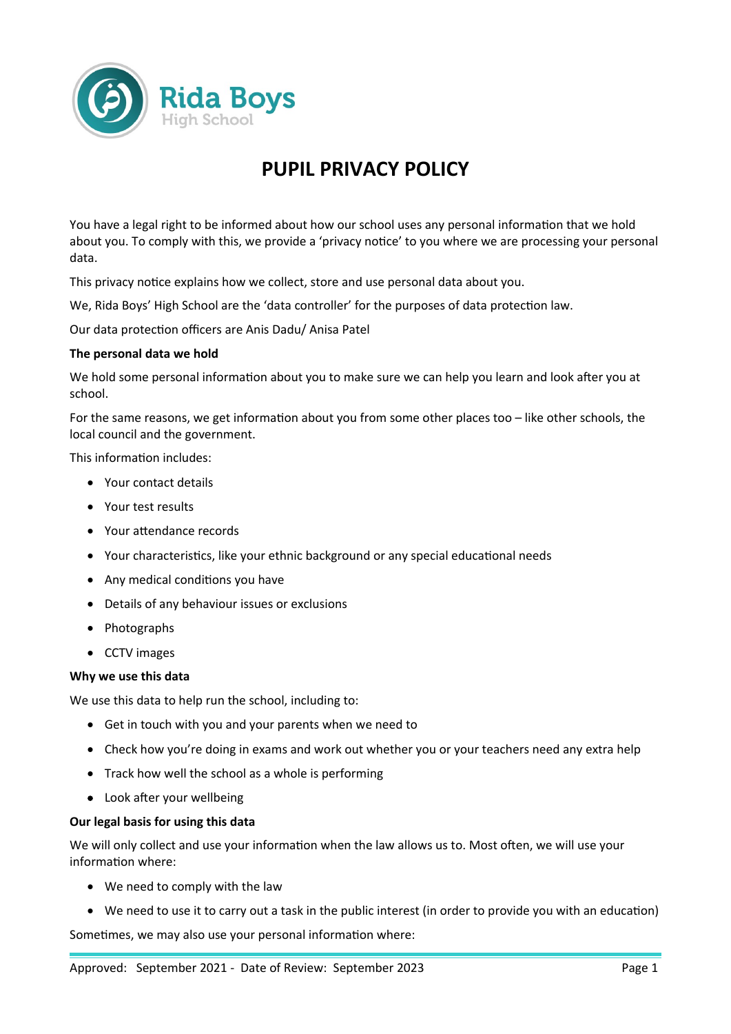

# **PUPIL PRIVACY POLICY**

You have a legal right to be informed about how our school uses any personal information that we hold about you. To comply with this, we provide a 'privacy notice' to you where we are processing your personal data.

This privacy notice explains how we collect, store and use personal data about you.

We, Rida Boys' High School are the 'data controller' for the purposes of data protection law.

Our data protection officers are Anis Dadu/ Anisa Patel

## **The personal data we hold**

We hold some personal information about you to make sure we can help you learn and look after you at school.

For the same reasons, we get information about you from some other places too – like other schools, the local council and the government.

This information includes:

- Your contact details
- Your test results
- Your attendance records
- Your characteristics, like your ethnic background or any special educational needs
- Any medical conditions you have
- Details of any behaviour issues or exclusions
- Photographs
- CCTV images

## **Why we use this data**

We use this data to help run the school, including to:

- Get in touch with you and your parents when we need to
- Check how you're doing in exams and work out whether you or your teachers need any extra help
- Track how well the school as a whole is performing
- Look after your wellbeing

## **Our legal basis for using this data**

We will only collect and use your information when the law allows us to. Most often, we will use your information where:

- We need to comply with the law
- We need to use it to carry out a task in the public interest (in order to provide you with an education)

Sometimes, we may also use your personal information where: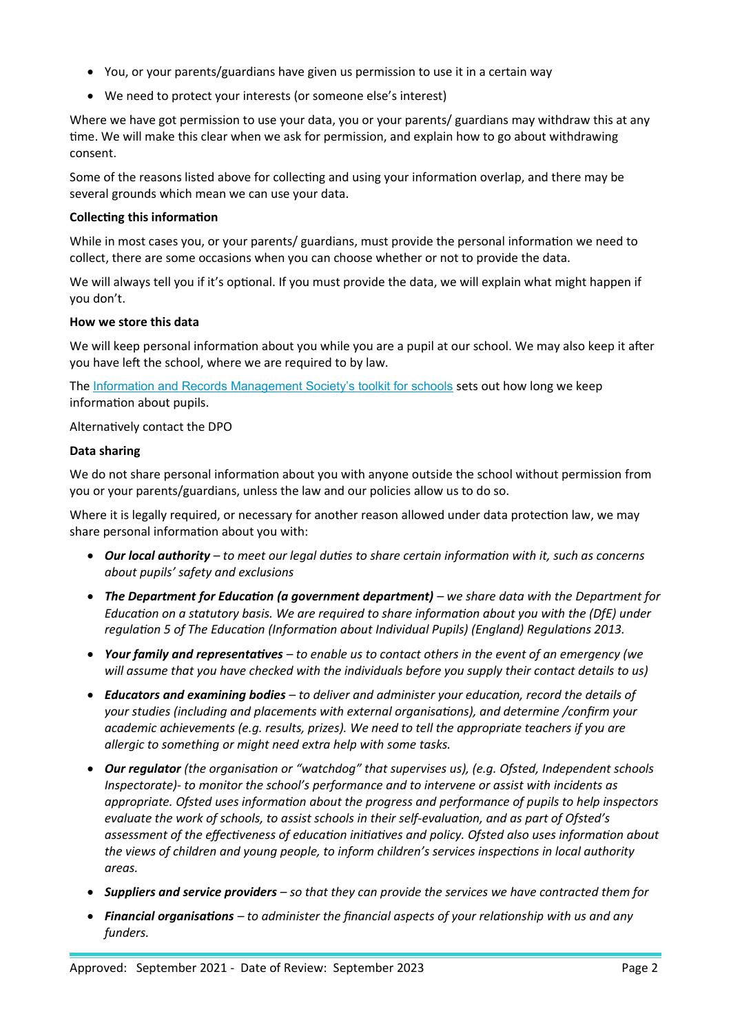- You, or your parents/guardians have given us permission to use it in a certain way
- We need to protect your interests (or someone else's interest)

Where we have got permission to use your data, you or your parents/ guardians may withdraw this at any time. We will make this clear when we ask for permission, and explain how to go about withdrawing consent.

Some of the reasons listed above for collecting and using your information overlap, and there may be several grounds which mean we can use your data.

# **Collecting this information**

While in most cases you, or your parents/ guardians, must provide the personal information we need to collect, there are some occasions when you can choose whether or not to provide the data.

We will always tell you if it's optional. If you must provide the data, we will explain what might happen if you don't.

# **How we store this data**

We will keep personal information about you while you are a pupil at our school. We may also keep it after you have left the school, where we are required to by law.

The [Information and Records Management Society's toolkit for schools](http://irms.org.uk/?page=schoolstoolkit&terms=%22toolkit+and+schools%22) sets out how long we keep information about pupils.

# Alternatively contact the DPO

## **Data sharing**

We do not share personal information about you with anyone outside the school without permission from you or your parents/guardians, unless the law and our policies allow us to do so.

Where it is legally required, or necessary for another reason allowed under data protection law, we may share personal information about you with:

- *Our local authority to meet our legal duties to share certain information with it, such as concerns about pupils' safety and exclusions*
- *The Department for Education (a government department) we share data with the Department for Education on a statutory basis. We are required to share information about you with the (DfE) under regulation 5 of The Education (Information about Individual Pupils) (England) Regulations 2013.*
- *Your family and representatives to enable us to contact others in the event of an emergency (we will assume that you have checked with the individuals before you supply their contact details to us)*
- *Educators and examining bodies to deliver and administer your education, record the details of your studies (including and placements with external organisations), and determine /confirm your academic achievements (e.g. results, prizes). We need to tell the appropriate teachers if you are allergic to something or might need extra help with some tasks.*
- *Our regulator (the organisation or "watchdog" that supervises us), (e.g. Ofsted, Independent schools Inspectorate)- to monitor the school's performance and to intervene or assist with incidents as appropriate. Ofsted uses information about the progress and performance of pupils to help inspectors evaluate the work of schools, to assist schools in their self-evaluation, and as part of Ofsted's assessment of the effectiveness of education initiatives and policy. Ofsted also uses information about the views of children and young people, to inform children's services inspections in local authority areas.*
- *Suppliers and service providers so that they can provide the services we have contracted them for*
- *Financial organisations to administer the financial aspects of your relationship with us and any funders.*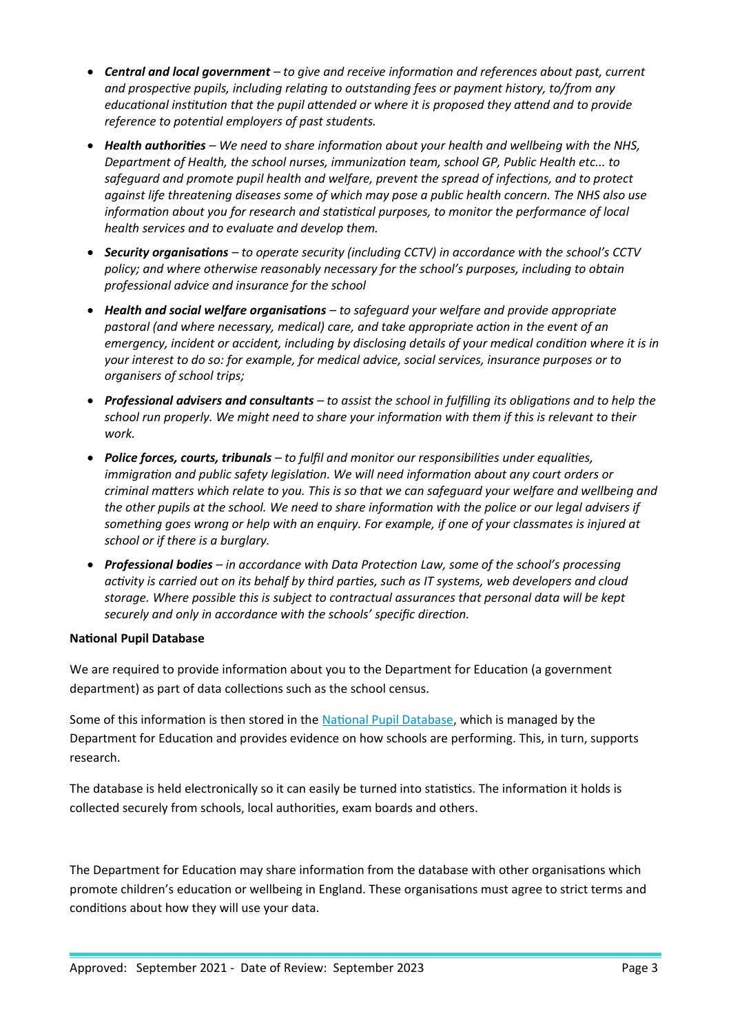- *Central and local government to give and receive information and references about past, current and prospective pupils, including relating to outstanding fees or payment history, to/from any educational institution that the pupil attended or where it is proposed they attend and to provide reference to potential employers of past students.*
- *Health authorities We need to share information about your health and wellbeing with the NHS, Department of Health, the school nurses, immunization team, school GP, Public Health etc... to safeguard and promote pupil health and welfare, prevent the spread of infections, and to protect against life threatening diseases some of which may pose a public health concern. The NHS also use information about you for research and statistical purposes, to monitor the performance of local health services and to evaluate and develop them.*
- *Security organisations to operate security (including CCTV) in accordance with the school's CCTV policy; and where otherwise reasonably necessary for the school's purposes, including to obtain professional advice and insurance for the school*
- *Health and social welfare organisations to safeguard your welfare and provide appropriate pastoral (and where necessary, medical) care, and take appropriate action in the event of an emergency, incident or accident, including by disclosing details of your medical condition where it is in your interest to do so: for example, for medical advice, social services, insurance purposes or to organisers of school trips;*
- *Professional advisers and consultants to assist the school in fulfilling its obligations and to help the school run properly. We might need to share your information with them if this is relevant to their work.*
- *Police forces, courts, tribunals to fulfil and monitor our responsibilities under equalities, immigration and public safety legislation. We will need information about any court orders or criminal matters which relate to you. This is so that we can safeguard your welfare and wellbeing and the other pupils at the school. We need to share information with the police or our legal advisers if something goes wrong or help with an enquiry. For example, if one of your classmates is injured at school or if there is a burglary.*
- *Professional bodies in accordance with Data Protection Law, some of the school's processing activity is carried out on its behalf by third parties, such as IT systems, web developers and cloud storage. Where possible this is subject to contractual assurances that personal data will be kept securely and only in accordance with the schools' specific direction.*

# **National Pupil Database**

We are required to provide information about you to the Department for Education (a government department) as part of data collections such as the school census.

Some of this information is then stored in the [National Pupil Database](https://www.gov.uk/government/publications/national-pupil-database-user-guide-and-supporting-information), which is managed by the Department for Education and provides evidence on how schools are performing. This, in turn, supports research.

The database is held electronically so it can easily be turned into statistics. The information it holds is collected securely from schools, local authorities, exam boards and others.

The Department for Education may share information from the database with other organisations which promote children's education or wellbeing in England. These organisations must agree to strict terms and conditions about how they will use your data.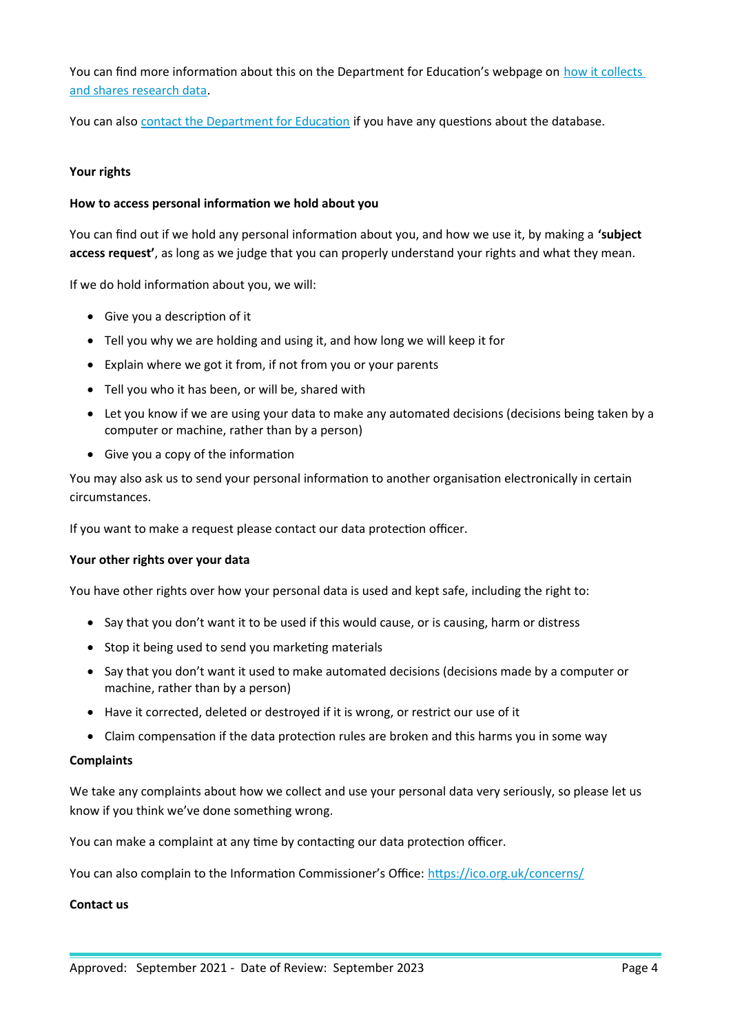You can find more information about this on the Department for Education's webpage on how it collects [and shares research data.](https://www.gov.uk/data-protection-how-we-collect-and-share-research-data)

You can also [contact the Department for Education](https://www.gov.uk/contact-dfe) if you have any questions about the database.

#### **Your rights**

#### **How to access personal information we hold about you**

You can find out if we hold any personal information about you, and how we use it, by making a **'subject access request'**, as long as we judge that you can properly understand your rights and what they mean.

If we do hold information about you, we will:

- Give you a description of it
- Tell you why we are holding and using it, and how long we will keep it for
- Explain where we got it from, if not from you or your parents
- Tell you who it has been, or will be, shared with
- Let you know if we are using your data to make any automated decisions (decisions being taken by a computer or machine, rather than by a person)
- Give you a copy of the information

You may also ask us to send your personal information to another organisation electronically in certain circumstances.

If you want to make a request please contact our data protection officer.

#### **Your other rights over your data**

You have other rights over how your personal data is used and kept safe, including the right to:

- Say that you don't want it to be used if this would cause, or is causing, harm or distress
- Stop it being used to send you marketing materials
- Say that you don't want it used to make automated decisions (decisions made by a computer or machine, rather than by a person)
- Have it corrected, deleted or destroyed if it is wrong, or restrict our use of it
- Claim compensation if the data protection rules are broken and this harms you in some way

#### **Complaints**

We take any complaints about how we collect and use your personal data very seriously, so please let us know if you think we've done something wrong.

You can make a complaint at any time by contacting our data protection officer.

You can also complain to the Information Commissioner's Office:<https://ico.org.uk/concerns/>

#### **Contact us**